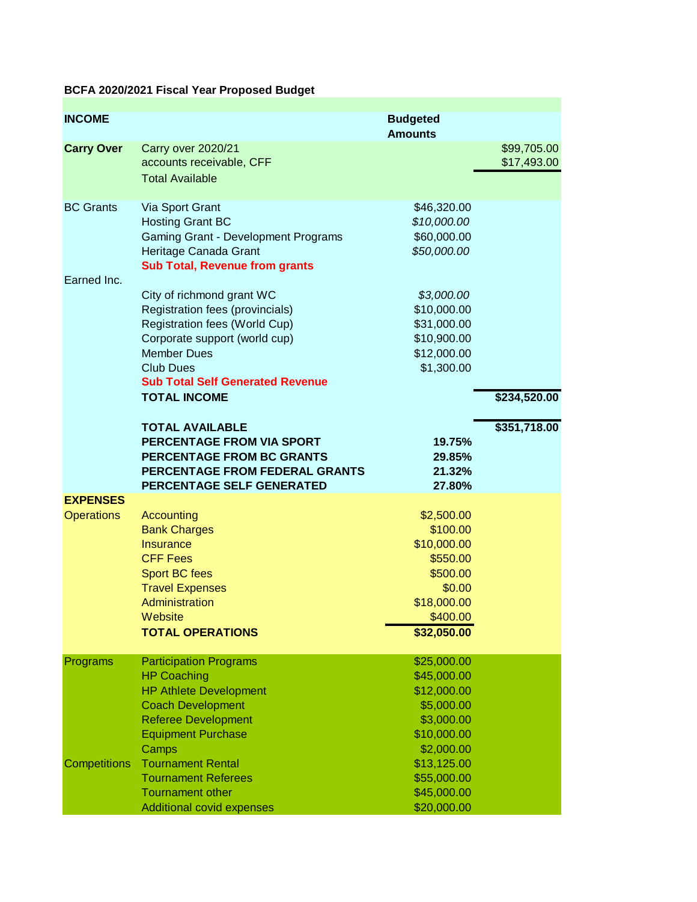## **BCFA 2020/2021 Fiscal Year Proposed Budget**

| <b>INCOME</b>       |                                                        | <b>Budgeted</b>           |              |
|---------------------|--------------------------------------------------------|---------------------------|--------------|
|                     |                                                        | <b>Amounts</b>            |              |
| <b>Carry Over</b>   | <b>Carry over 2020/21</b>                              |                           | \$99,705.00  |
|                     | accounts receivable, CFF                               |                           | \$17,493.00  |
|                     | <b>Total Available</b>                                 |                           |              |
| <b>BC Grants</b>    | Via Sport Grant                                        | \$46,320.00               |              |
|                     | <b>Hosting Grant BC</b>                                | \$10,000.00               |              |
|                     | Gaming Grant - Development Programs                    | \$60,000.00               |              |
|                     | Heritage Canada Grant                                  | \$50,000.00               |              |
|                     | <b>Sub Total, Revenue from grants</b>                  |                           |              |
| Earned Inc.         | City of richmond grant WC                              | \$3,000.00                |              |
|                     | Registration fees (provincials)                        | \$10,000.00               |              |
|                     | Registration fees (World Cup)                          | \$31,000.00               |              |
|                     | Corporate support (world cup)                          | \$10,900.00               |              |
|                     | <b>Member Dues</b>                                     | \$12,000.00               |              |
|                     | <b>Club Dues</b>                                       | \$1,300.00                |              |
|                     | <b>Sub Total Self Generated Revenue</b>                |                           |              |
|                     | <b>TOTAL INCOME</b>                                    |                           | \$234,520.00 |
|                     | <b>TOTAL AVAILABLE</b>                                 |                           | \$351,718.00 |
|                     | PERCENTAGE FROM VIA SPORT                              | 19.75%                    |              |
|                     | PERCENTAGE FROM BC GRANTS                              | 29.85%                    |              |
|                     | PERCENTAGE FROM FEDERAL GRANTS                         | 21.32%                    |              |
|                     | PERCENTAGE SELF GENERATED                              | 27.80%                    |              |
| <b>EXPENSES</b>     |                                                        |                           |              |
| <b>Operations</b>   | Accounting                                             | \$2,500.00                |              |
|                     | <b>Bank Charges</b>                                    | \$100.00                  |              |
|                     | <b>Insurance</b>                                       | \$10,000.00               |              |
|                     | <b>CFF Fees</b>                                        | \$550.00                  |              |
|                     | <b>Sport BC fees</b>                                   | \$500.00                  |              |
|                     | <b>Travel Expenses</b><br>Administration               | \$0.00                    |              |
|                     | Website                                                | \$18,000.00<br>\$400.00   |              |
|                     | <b>TOTAL OPERATIONS</b>                                | \$32,050.00               |              |
|                     |                                                        |                           |              |
| Programs            | <b>Participation Programs</b>                          | \$25,000.00               |              |
|                     | <b>HP Coaching</b>                                     | \$45,000.00               |              |
|                     | <b>HP Athlete Development</b>                          | \$12,000.00               |              |
|                     | <b>Coach Development</b><br><b>Referee Development</b> | \$5,000.00                |              |
|                     | <b>Equipment Purchase</b>                              | \$3,000.00<br>\$10,000.00 |              |
|                     | Camps                                                  | \$2,000.00                |              |
| <b>Competitions</b> | <b>Tournament Rental</b>                               | \$13,125.00               |              |
|                     | <b>Tournament Referees</b>                             | \$55,000.00               |              |
|                     | <b>Tournament other</b>                                | \$45,000.00               |              |
|                     | Additional covid expenses                              | \$20,000.00               |              |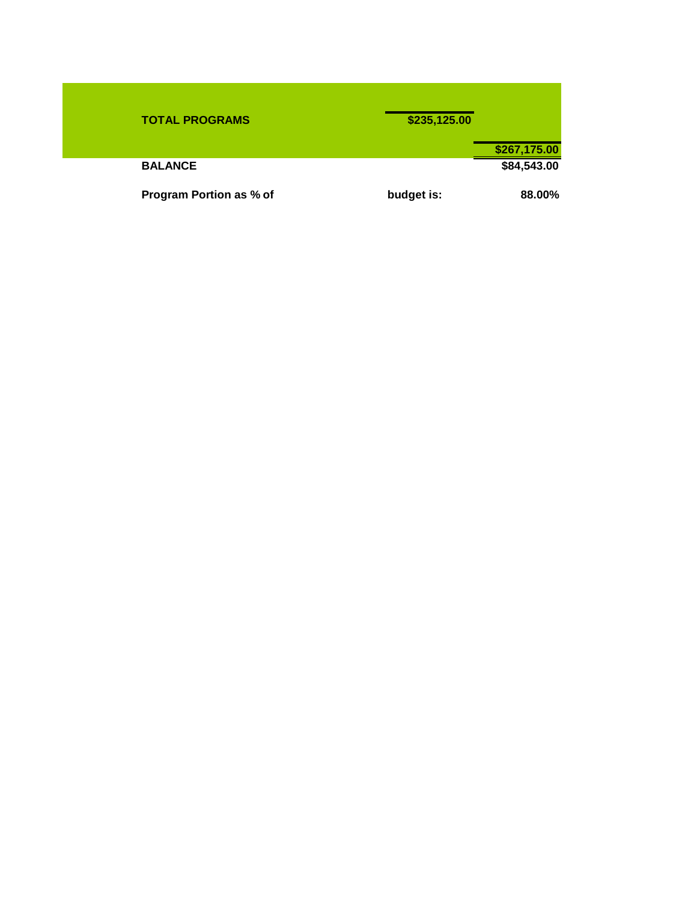| <b>TOTAL PROGRAMS</b>          | \$235,125.00 |              |
|--------------------------------|--------------|--------------|
|                                |              | \$267,175.00 |
| <b>BALANCE</b>                 |              | \$84,543.00  |
| <b>Program Portion as % of</b> | budget is:   | 88.00%       |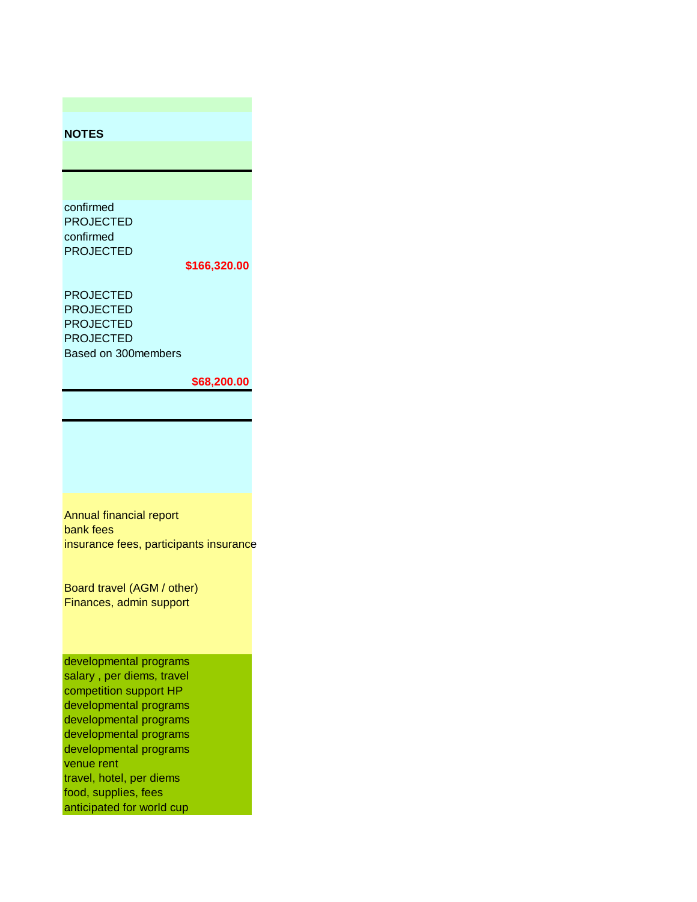## **NOTES**

confirmed PROJECTED confirmed PROJECTED

## **\$166,320.00**

PROJECTED PROJECTED PROJECTED PROJECTED Based on 300members

## **\$68,200.00**

Annual financial report bank fees insurance fees, participants insurance

Board travel (AGM / other) Finances, admin support

developmental programs salary , per diems, travel competition support HP developmental programs developmental programs developmental programs developmental programs venue rent travel, hotel, per diems food, supplies, fees anticipated for world cup